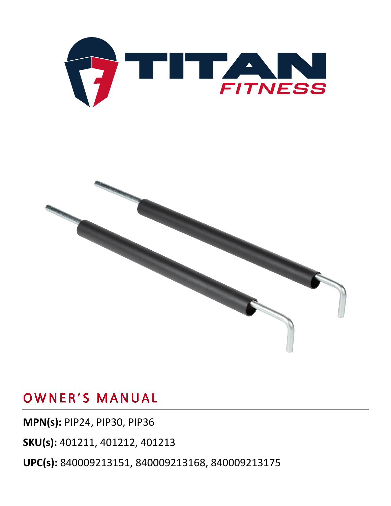



#### OWNER'S MANUAL

**MPN(s):** PIP24, PIP30, PIP36 **SKU(s):** 401211, 401212, 401213 **UPC(s):** 840009213151, 840009213168, 840009213175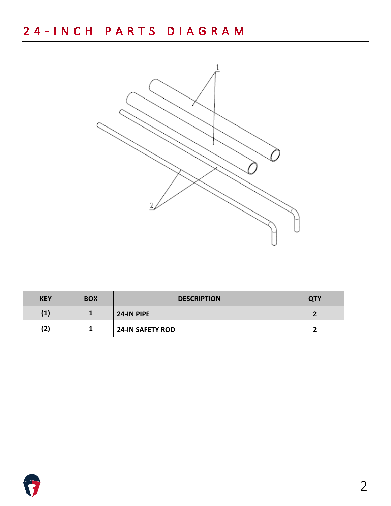

| <b>KEY</b>     | <b>BOX</b> | <b>DESCRIPTION</b>      | <b>QTY</b> |
|----------------|------------|-------------------------|------------|
| $\mathbf{(1)}$ |            | 24-IN PIPE              |            |
| (2)            |            | <b>24-IN SAFETY ROD</b> |            |

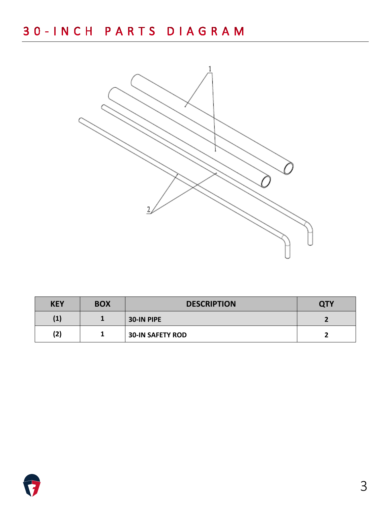

| <b>KEY</b> | <b>BOX</b> | <b>DESCRIPTION</b>      | QTY |
|------------|------------|-------------------------|-----|
| (1)        |            | 30-IN PIPE              |     |
| (2)        |            | <b>30-IN SAFETY ROD</b> |     |

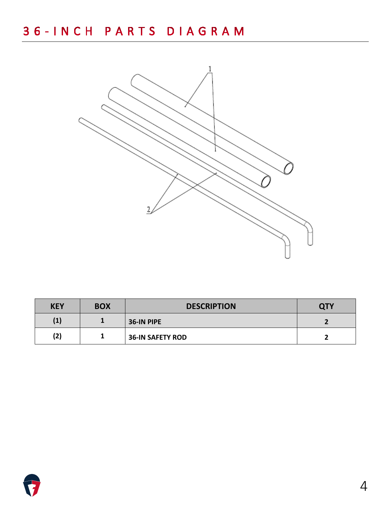

| <b>KEY</b> | <b>BOX</b> | <b>DESCRIPTION</b>      | <b>QTY</b> |
|------------|------------|-------------------------|------------|
| (1)        |            | 36-IN PIPE              |            |
| (2)        |            | <b>36-IN SAFETY ROD</b> |            |